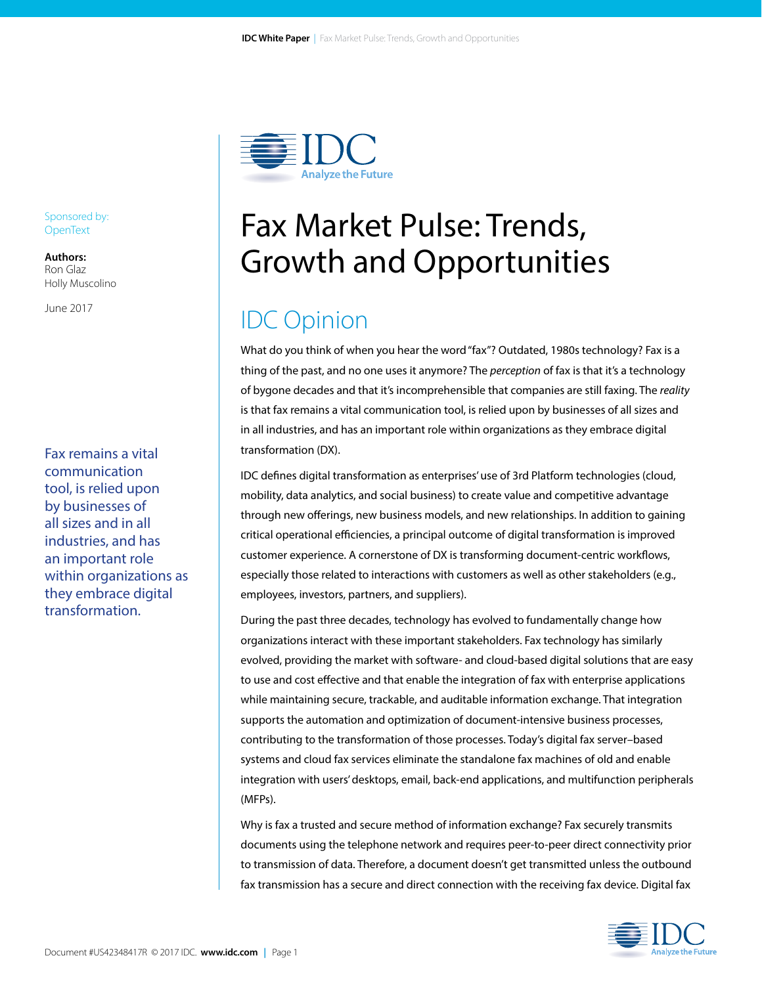

# Fax Market Pulse: Trends, Growth and Opportunities

## IDC Opinion

What do you think of when you hear the word "fax"? Outdated, 1980s technology? Fax is a thing of the past, and no one uses it anymore? The *perception* of fax is that it's a technology of bygone decades and that it's incomprehensible that companies are still faxing. The *reality* is that fax remains a vital communication tool, is relied upon by businesses of all sizes and in all industries, and has an important role within organizations as they embrace digital transformation (DX).

IDC defines digital transformation as enterprises' use of 3rd Platform technologies (cloud, mobility, data analytics, and social business) to create value and competitive advantage through new offerings, new business models, and new relationships. In addition to gaining critical operational efficiencies, a principal outcome of digital transformation is improved customer experience. A cornerstone of DX is transforming document-centric workflows, especially those related to interactions with customers as well as other stakeholders (e.g., employees, investors, partners, and suppliers).

During the past three decades, technology has evolved to fundamentally change how organizations interact with these important stakeholders. Fax technology has similarly evolved, providing the market with software- and cloud-based digital solutions that are easy to use and cost effective and that enable the integration of fax with enterprise applications while maintaining secure, trackable, and auditable information exchange. That integration supports the automation and optimization of document-intensive business processes, contributing to the transformation of those processes. Today's digital fax server–based systems and cloud fax services eliminate the standalone fax machines of old and enable integration with users' desktops, email, back-end applications, and multifunction peripherals (MFPs).

Why is fax a trusted and secure method of information exchange? Fax securely transmits documents using the telephone network and requires peer-to-peer direct connectivity prior to transmission of data. Therefore, a document doesn't get transmitted unless the outbound fax transmission has a secure and direct connection with the receiving fax device. Digital fax



Sponsored by: **OpenText** 

**Authors:** Ron Glaz Holly Muscolino

June 2017

Fax remains a vital communication tool, is relied upon by businesses of all sizes and in all industries, and has an important role within organizations as they embrace digital transformation.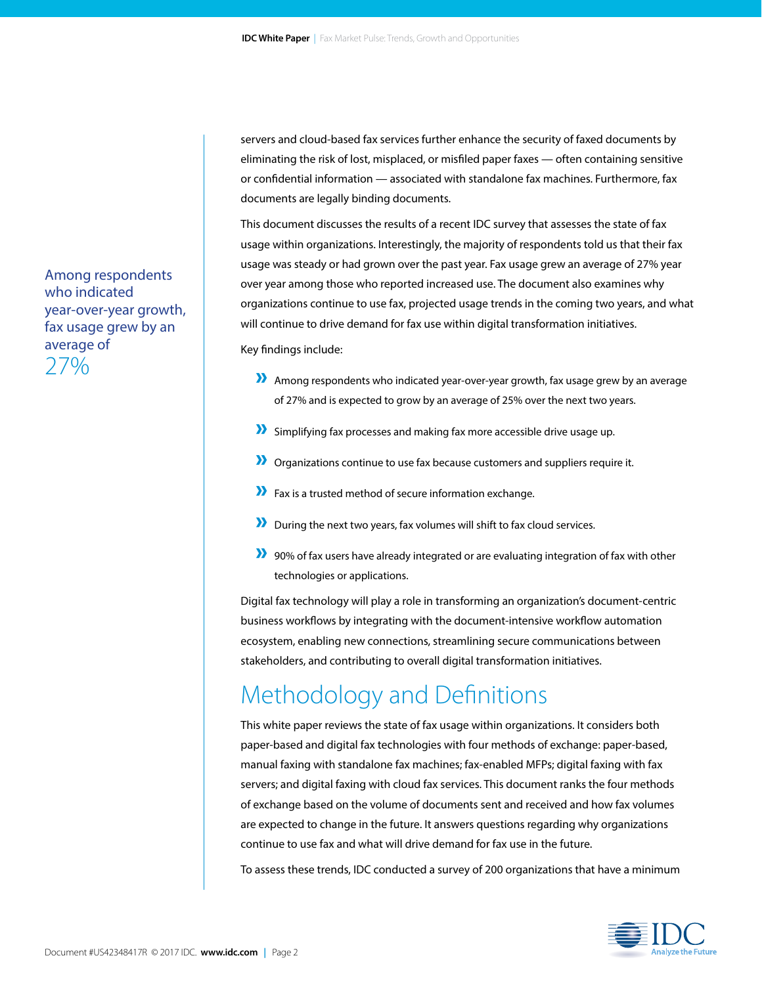servers and cloud-based fax services further enhance the security of faxed documents by eliminating the risk of lost, misplaced, or misfiled paper faxes — often containing sensitive or confidential information — associated with standalone fax machines. Furthermore, fax documents are legally binding documents.

This document discusses the results of a recent IDC survey that assesses the state of fax usage within organizations. Interestingly, the majority of respondents told us that their fax usage was steady or had grown over the past year. Fax usage grew an average of 27% year over year among those who reported increased use. The document also examines why organizations continue to use fax, projected usage trends in the coming two years, and what will continue to drive demand for fax use within digital transformation initiatives.

Key findings include:

- » Among respondents who indicated year-over-year growth, fax usage grew by an average of 27% and is expected to grow by an average of 25% over the next two years.
- » Simplifying fax processes and making fax more accessible drive usage up.
- » Organizations continue to use fax because customers and suppliers require it.
- » Fax is a trusted method of secure information exchange.
- » During the next two years, fax volumes will shift to fax cloud services.
- » 90% of fax users have already integrated or are evaluating integration of fax with other technologies or applications.

Digital fax technology will play a role in transforming an organization's document-centric business workflows by integrating with the document-intensive workflow automation ecosystem, enabling new connections, streamlining secure communications between stakeholders, and contributing to overall digital transformation initiatives.

## Methodology and Definitions

This white paper reviews the state of fax usage within organizations. It considers both paper-based and digital fax technologies with four methods of exchange: paper-based, manual faxing with standalone fax machines; fax-enabled MFPs; digital faxing with fax servers; and digital faxing with cloud fax services. This document ranks the four methods of exchange based on the volume of documents sent and received and how fax volumes are expected to change in the future. It answers questions regarding why organizations continue to use fax and what will drive demand for fax use in the future.

To assess these trends, IDC conducted a survey of 200 organizations that have a minimum



Among respondents who indicated year-over-year growth, fax usage grew by an average of 27%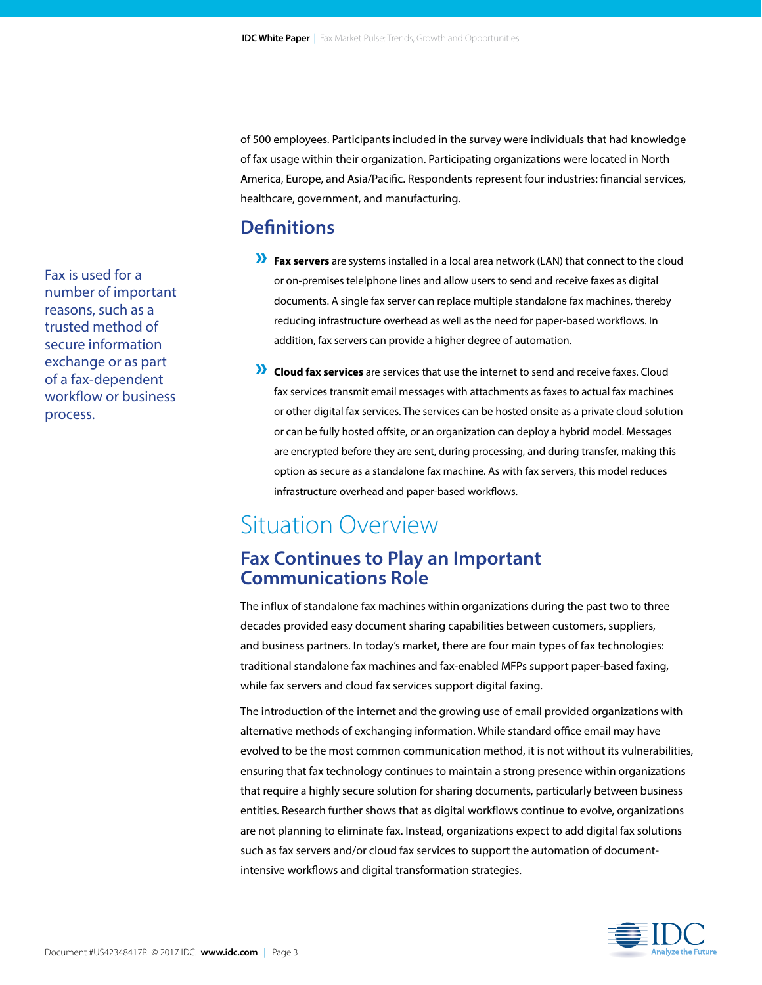of 500 employees. Participants included in the survey were individuals that had knowledge of fax usage within their organization. Participating organizations were located in North America, Europe, and Asia/Pacific. Respondents represent four industries: financial services, healthcare, government, and manufacturing.

### **Definitions**

- » **Fax servers** are systems installed in a local area network (LAN) that connect to the cloud or on-premises telelphone lines and allow users to send and receive faxes as digital documents. A single fax server can replace multiple standalone fax machines, thereby reducing infrastructure overhead as well as the need for paper-based workflows. In addition, fax servers can provide a higher degree of automation.
- » **Cloud fax services** are services that use the internet to send and receive faxes. Cloud fax services transmit email messages with attachments as faxes to actual fax machines or other digital fax services. The services can be hosted onsite as a private cloud solution or can be fully hosted offsite, or an organization can deploy a hybrid model. Messages are encrypted before they are sent, during processing, and during transfer, making this option as secure as a standalone fax machine. As with fax servers, this model reduces infrastructure overhead and paper-based workflows.

## Situation Overview

### **Fax Continues to Play an Important Communications Role**

The influx of standalone fax machines within organizations during the past two to three decades provided easy document sharing capabilities between customers, suppliers, and business partners. In today's market, there are four main types of fax technologies: traditional standalone fax machines and fax-enabled MFPs support paper-based faxing, while fax servers and cloud fax services support digital faxing.

The introduction of the internet and the growing use of email provided organizations with alternative methods of exchanging information. While standard office email may have evolved to be the most common communication method, it is not without its vulnerabilities, ensuring that fax technology continues to maintain a strong presence within organizations that require a highly secure solution for sharing documents, particularly between business entities. Research further shows that as digital workflows continue to evolve, organizations are not planning to eliminate fax. Instead, organizations expect to add digital fax solutions such as fax servers and/or cloud fax services to support the automation of documentintensive workflows and digital transformation strategies.



Fax is used for a number of important reasons, such as a trusted method of secure information exchange or as part of a fax-dependent workflow or business process.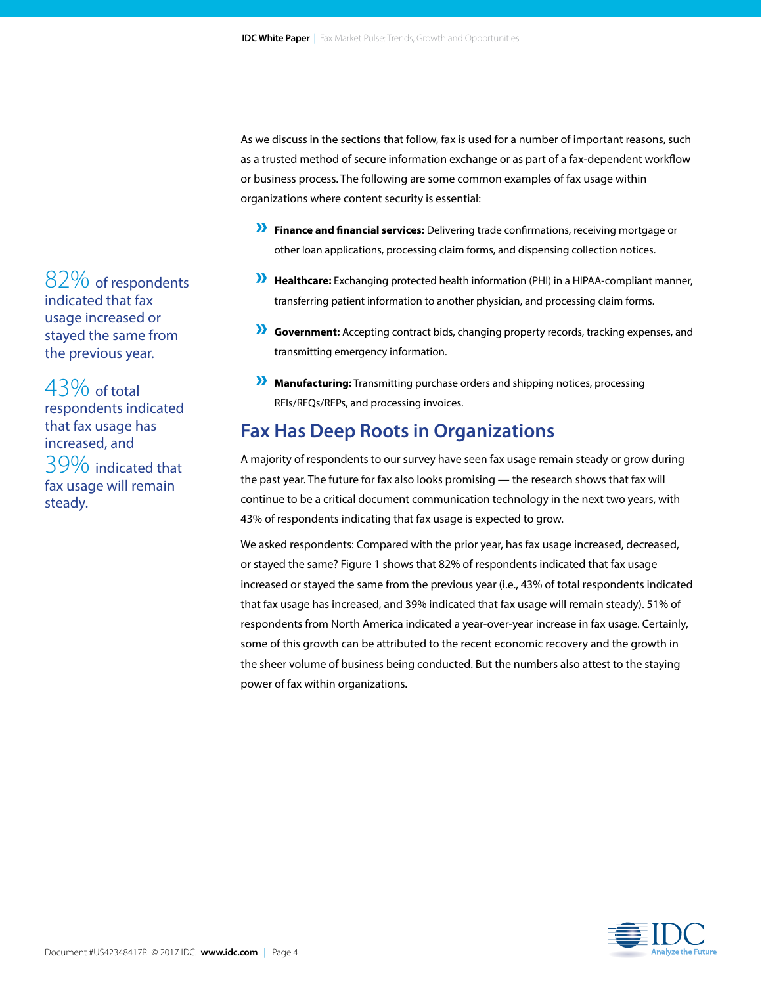As we discuss in the sections that follow, fax is used for a number of important reasons, such as a trusted method of secure information exchange or as part of a fax-dependent workflow or business process. The following are some common examples of fax usage within organizations where content security is essential:

- » **Finance and financial services:** Delivering trade confirmations, receiving mortgage or other loan applications, processing claim forms, and dispensing collection notices.
- » **Healthcare:** Exchanging protected health information (PHI) in a HIPAA-compliant manner, transferring patient information to another physician, and processing claim forms.
- » **Government:** Accepting contract bids, changing property records, tracking expenses, and transmitting emergency information.
- » **Manufacturing:** Transmitting purchase orders and shipping notices, processing RFIs/RFQs/RFPs, and processing invoices.

### **Fax Has Deep Roots in Organizations**

A majority of respondents to our survey have seen fax usage remain steady or grow during the past year. The future for fax also looks promising — the research shows that fax will continue to be a critical document communication technology in the next two years, with 43% of respondents indicating that fax usage is expected to grow.

We asked respondents: Compared with the prior year, has fax usage increased, decreased, or stayed the same? Figure 1 shows that 82% of respondents indicated that fax usage increased or stayed the same from the previous year (i.e., 43% of total respondents indicated that fax usage has increased, and 39% indicated that fax usage will remain steady). 51% of respondents from North America indicated a year-over-year increase in fax usage. Certainly, some of this growth can be attributed to the recent economic recovery and the growth in the sheer volume of business being conducted. But the numbers also attest to the staying power of fax within organizations.



82% of respondents indicated that fax usage increased or stayed the same from the previous year.

43% of total respondents indicated that fax usage has increased, and 39% indicated that fax usage will remain steady.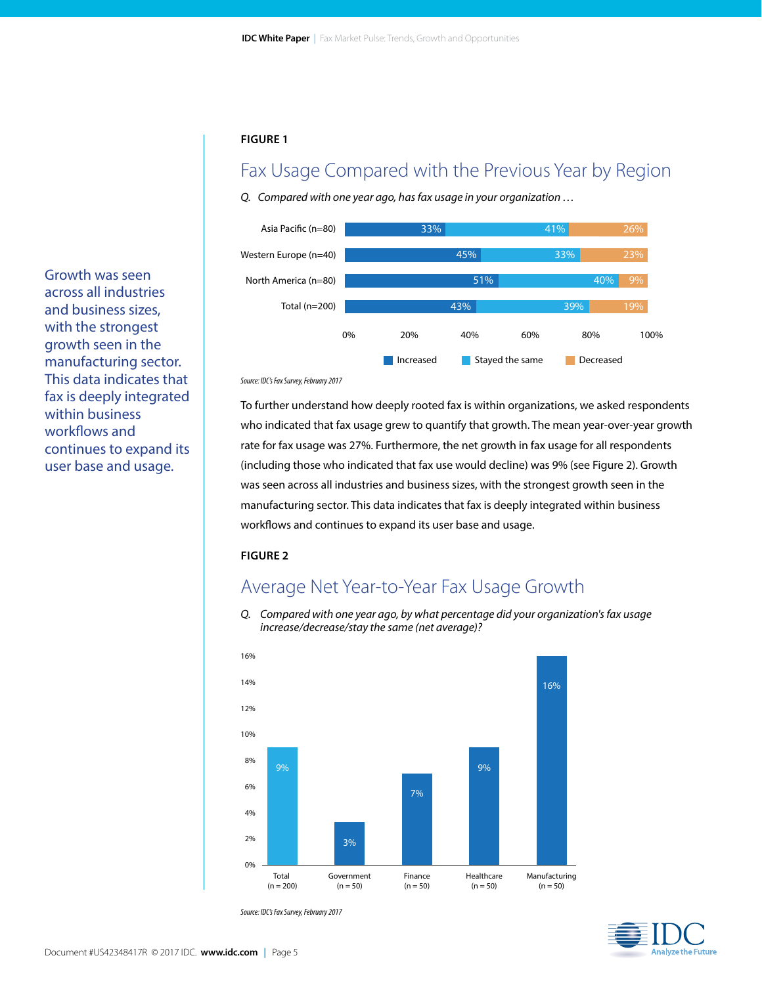### Fax Usage Compared with the Previous Year by Region

*Q. Compared with one year ago, has fax usage in your organization …* 



Growth was seen across all industries and business sizes, with the strongest growth seen in the manufacturing sector. This data indicates that fax is deeply integrated within business workflows and continues to expand its user base and usage.

#### *Source: IDC's Fax Survey, February 2017*

To further understand how deeply rooted fax is within organizations, we asked respondents who indicated that fax usage grew to quantify that growth. The mean year-over-year growth rate for fax usage was 27%. Furthermore, the net growth in fax usage for all respondents (including those who indicated that fax use would decline) was 9% (see Figure 2). Growth was seen across all industries and business sizes, with the strongest growth seen in the manufacturing sector. This data indicates that fax is deeply integrated within business workflows and continues to expand its user base and usage.

#### **FIGURE 2**

### Average Net Year-to-Year Fax Usage Growth

*Q. Compared with one year ago, by what percentage did your organization's fax usage increase/decrease/stay the same (net average)?*



*Source: IDC's Fax Survey, February 2017*

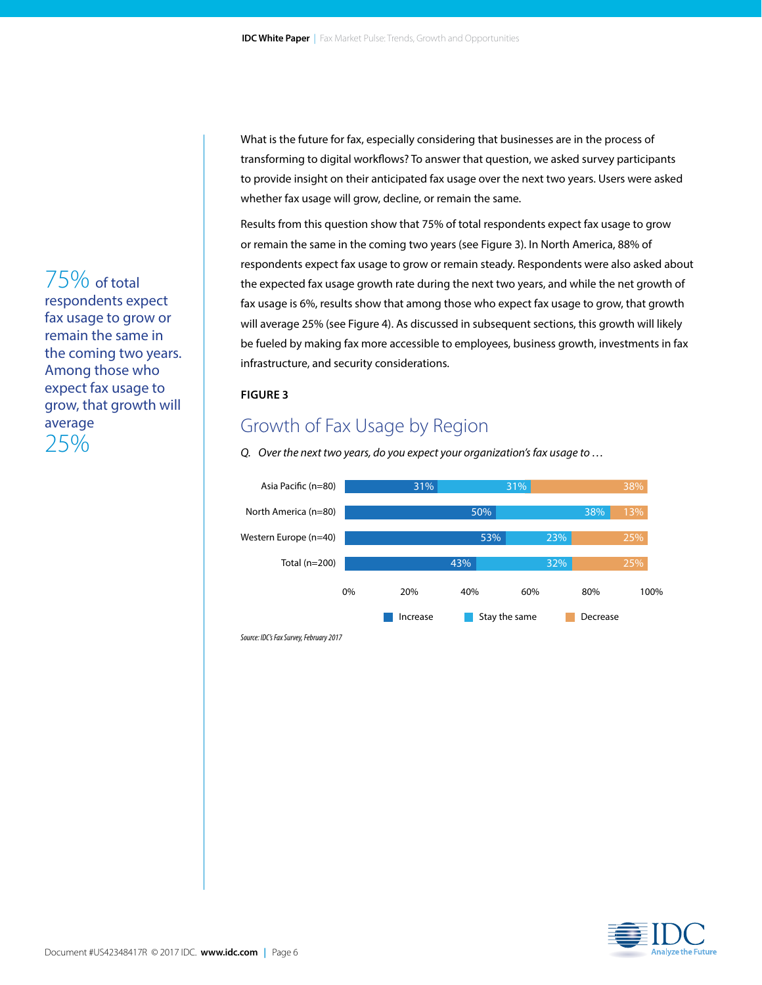What is the future for fax, especially considering that businesses are in the process of transforming to digital workflows? To answer that question, we asked survey participants to provide insight on their anticipated fax usage over the next two years. Users were asked whether fax usage will grow, decline, or remain the same.

Results from this question show that 75% of total respondents expect fax usage to grow or remain the same in the coming two years (see Figure 3). In North America, 88% of respondents expect fax usage to grow or remain steady. Respondents were also asked about the expected fax usage growth rate during the next two years, and while the net growth of fax usage is 6%, results show that among those who expect fax usage to grow, that growth will average 25% (see Figure 4). As discussed in subsequent sections, this growth will likely be fueled by making fax more accessible to employees, business growth, investments in fax infrastructure, and security considerations.

#### **FIGURE 3**

### Growth of Fax Usage by Region

*Q. Over the next two years, do you expect your organization's fax usage to …*







### 75% of total respondents expect fax usage to grow or remain the same in the coming two years. Among those who expect fax usage to grow, that growth will average 25%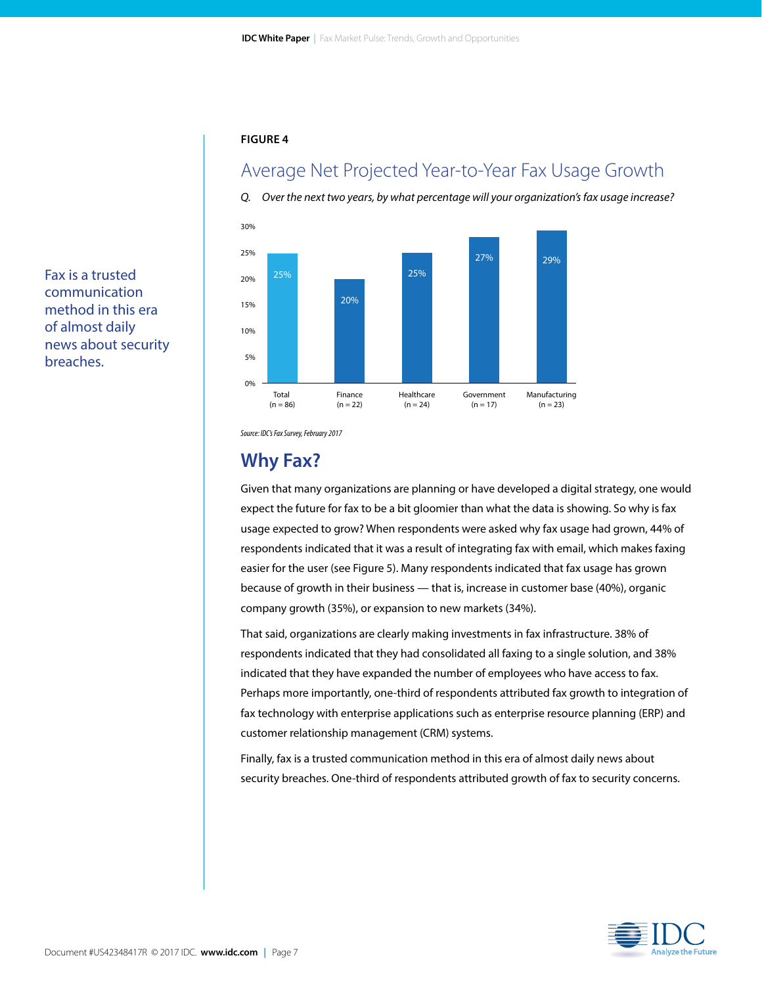### Average Net Projected Year-to-Year Fax Usage Growth

*Q. Over the next two years, by what percentage will your organization's fax usage increase?*



Fax is a trusted communication method in this era of almost daily news about security breaches.

*Source: IDC's Fax Survey, February 2017*

### **Why Fax?**

Given that many organizations are planning or have developed a digital strategy, one would expect the future for fax to be a bit gloomier than what the data is showing. So why is fax usage expected to grow? When respondents were asked why fax usage had grown, 44% of respondents indicated that it was a result of integrating fax with email, which makes faxing easier for the user (see Figure 5). Many respondents indicated that fax usage has grown because of growth in their business — that is, increase in customer base (40%), organic company growth (35%), or expansion to new markets (34%).

That said, organizations are clearly making investments in fax infrastructure. 38% of respondents indicated that they had consolidated all faxing to a single solution, and 38% indicated that they have expanded the number of employees who have access to fax. Perhaps more importantly, one-third of respondents attributed fax growth to integration of fax technology with enterprise applications such as enterprise resource planning (ERP) and customer relationship management (CRM) systems.

Finally, fax is a trusted communication method in this era of almost daily news about security breaches. One-third of respondents attributed growth of fax to security concerns.

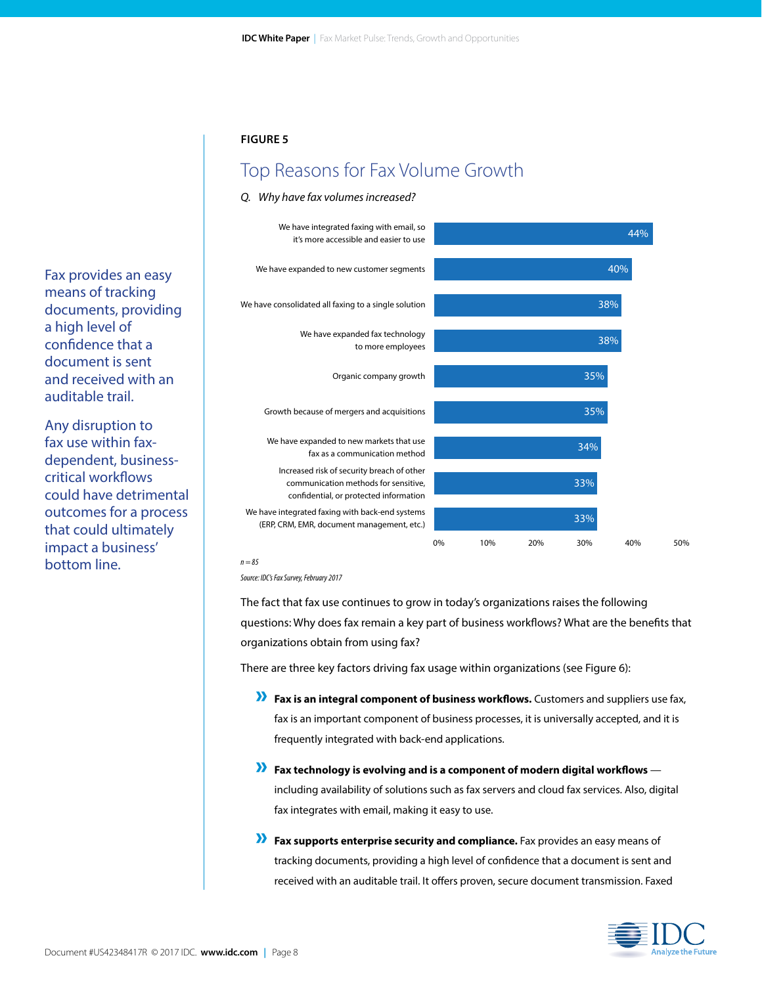### Top Reasons for Fax Volume Growth



#### *Q. Why have fax volumes increased?*

*n = 85*

*Source: IDC's Fax Survey, February 2017*

The fact that fax use continues to grow in today's organizations raises the following questions: Why does fax remain a key part of business workflows? What are the benefits that organizations obtain from using fax?

There are three key factors driving fax usage within organizations (see Figure 6):

- » **Fax is an integral component of business workflows.** Customers and suppliers use fax, fax is an important component of business processes, it is universally accepted, and it is frequently integrated with back-end applications.
- » **Fax technology is evolving and is a component of modern digital workflows** including availability of solutions such as fax servers and cloud fax services. Also, digital fax integrates with email, making it easy to use.
- » **Fax supports enterprise security and compliance.** Fax provides an easy means of tracking documents, providing a high level of confidence that a document is sent and received with an auditable trail. It offers proven, secure document transmission. Faxed



Fax provides an easy means of tracking documents, providing a high level of confidence that a document is sent and received with an auditable trail.

Any disruption to fax use within faxdependent, businesscritical workflows could have detrimental outcomes for a process that could ultimately impact a business' bottom line.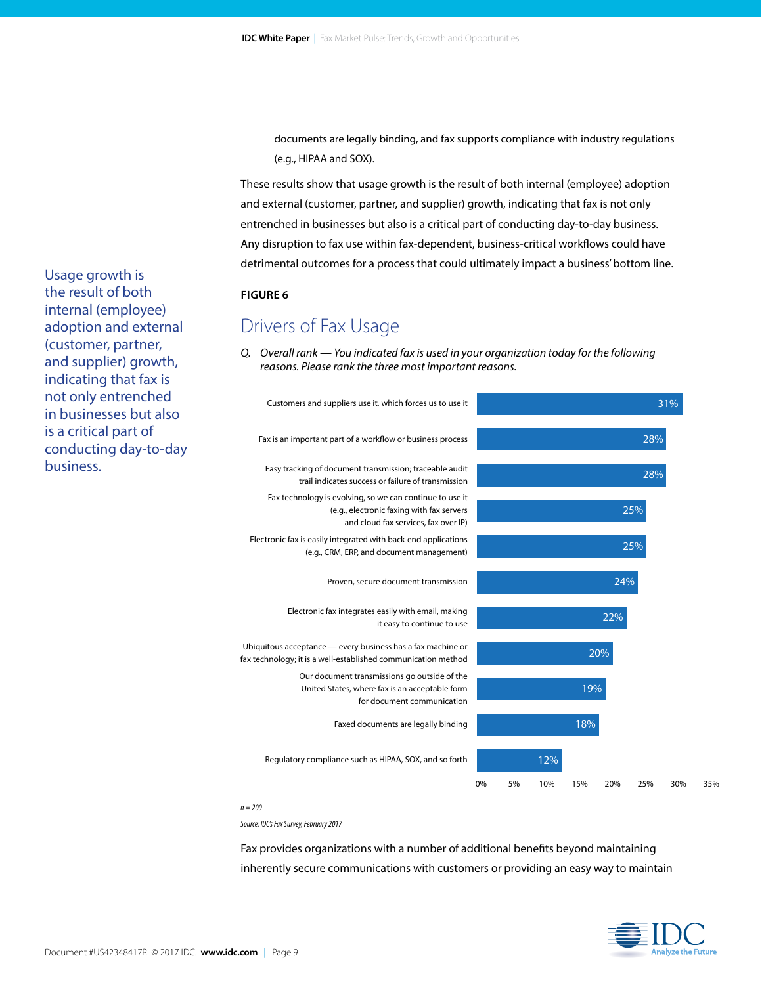documents are legally binding, and fax supports compliance with industry regulations (e.g., HIPAA and SOX).

These results show that usage growth is the result of both internal (employee) adoption and external (customer, partner, and supplier) growth, indicating that fax is not only entrenched in businesses but also is a critical part of conducting day-to-day business. Any disruption to fax use within fax-dependent, business-critical workflows could have detrimental outcomes for a process that could ultimately impact a business' bottom line.

#### **FIGURE 6**

### Drivers of Fax Usage

*Q. Overall rank — You indicated fax is used in your organization today for the following reasons. Please rank the three most important reasons.*



*Source: IDC's Fax Survey, February 2017*

Fax provides organizations with a number of additional benefits beyond maintaining inherently secure communications with customers or providing an easy way to maintain

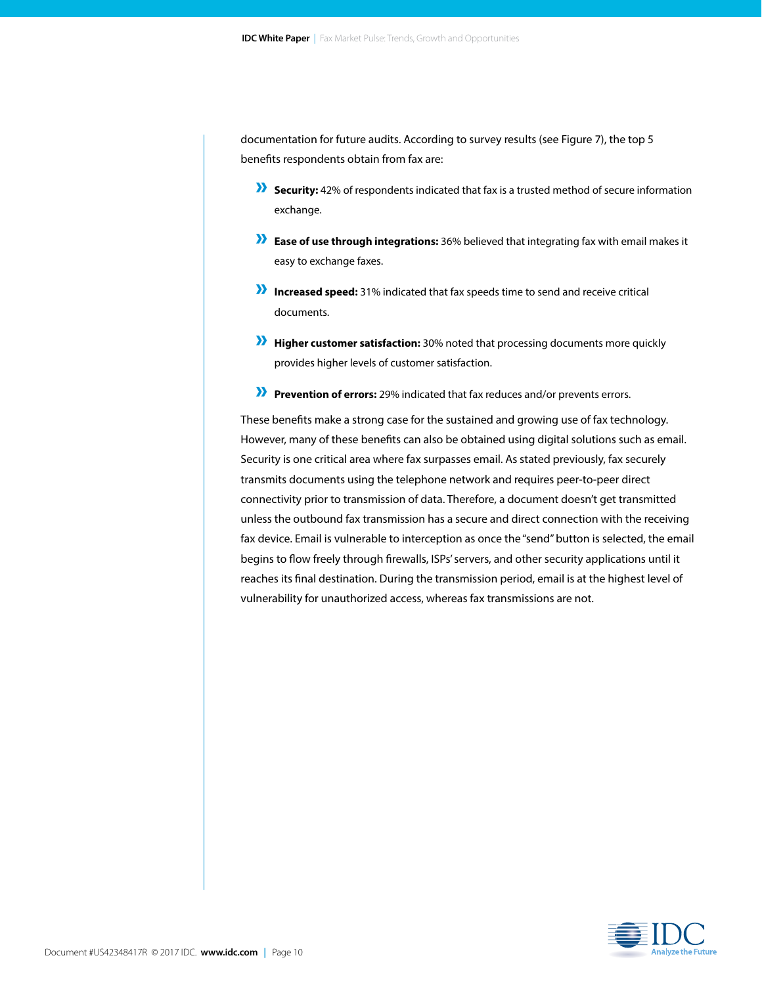documentation for future audits. According to survey results (see Figure 7), the top 5 benefits respondents obtain from fax are:

- » **Security:** 42% of respondents indicated that fax is a trusted method of secure information exchange.
- » **Ease of use through integrations:** 36% believed that integrating fax with email makes it easy to exchange faxes.
- » **Increased speed:** 31% indicated that fax speeds time to send and receive critical documents.
- » **Higher customer satisfaction:** 30% noted that processing documents more quickly provides higher levels of customer satisfaction.
- » **Prevention of errors:** 29% indicated that fax reduces and/or prevents errors.

These benefits make a strong case for the sustained and growing use of fax technology. However, many of these benefits can also be obtained using digital solutions such as email. Security is one critical area where fax surpasses email. As stated previously, fax securely transmits documents using the telephone network and requires peer-to-peer direct connectivity prior to transmission of data. Therefore, a document doesn't get transmitted unless the outbound fax transmission has a secure and direct connection with the receiving fax device. Email is vulnerable to interception as once the "send" button is selected, the email begins to flow freely through firewalls, ISPs' servers, and other security applications until it reaches its final destination. During the transmission period, email is at the highest level of vulnerability for unauthorized access, whereas fax transmissions are not.

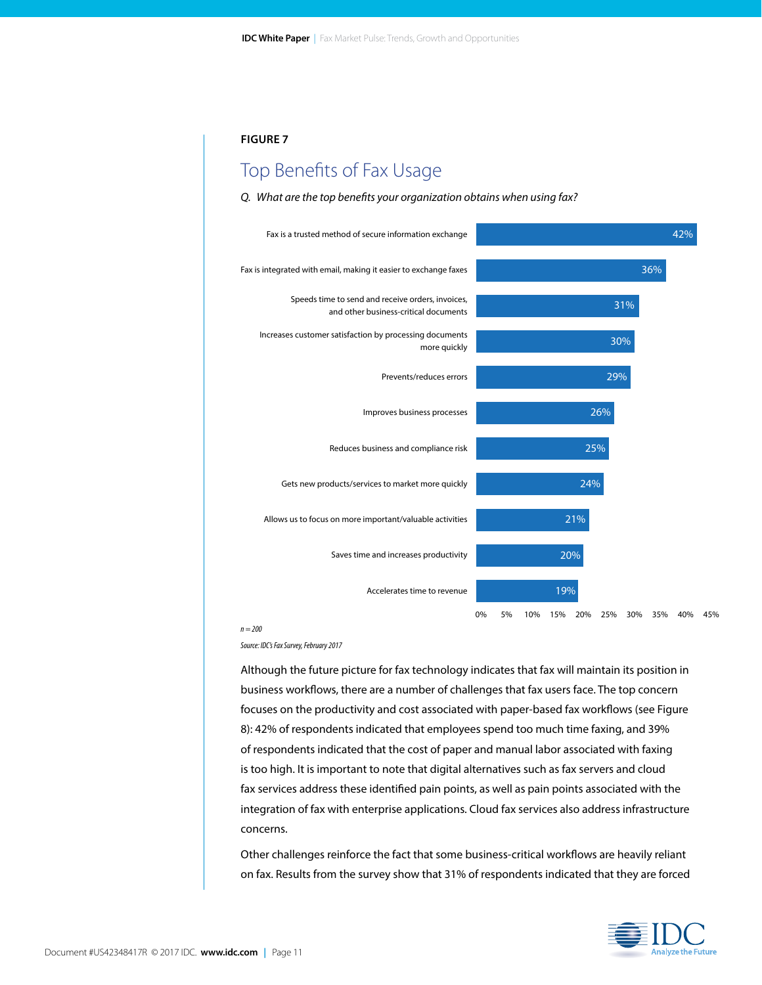### Top Benefits of Fax Usage

#### *Q. What are the top benefits your organization obtains when using fax?*



*n = 200*

*Source: IDC's Fax Survey, February 2017*

Although the future picture for fax technology indicates that fax will maintain its position in business workflows, there are a number of challenges that fax users face. The top concern focuses on the productivity and cost associated with paper-based fax workflows (see Figure 8): 42% of respondents indicated that employees spend too much time faxing, and 39% of respondents indicated that the cost of paper and manual labor associated with faxing is too high. It is important to note that digital alternatives such as fax servers and cloud fax services address these identified pain points, as well as pain points associated with the integration of fax with enterprise applications. Cloud fax services also address infrastructure concerns.

Other challenges reinforce the fact that some business-critical workflows are heavily reliant on fax. Results from the survey show that 31% of respondents indicated that they are forced

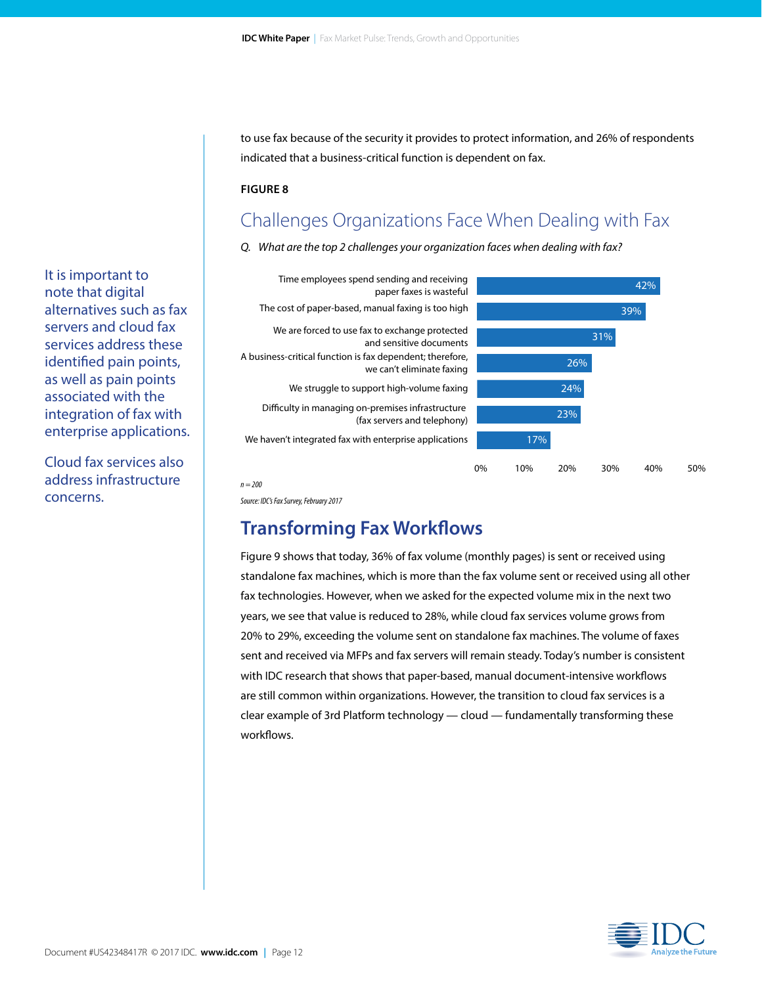to use fax because of the security it provides to protect information, and 26% of respondents indicated that a business-critical function is dependent on fax.

#### **FIGURE 8**

### Challenges Organizations Face When Dealing with Fax

*Q. What are the top 2 challenges your organization faces when dealing with fax?*





*n = 200*

*Source: IDC's Fax Survey, February 2017*

### **Transforming Fax Workflows**

Figure 9 shows that today, 36% of fax volume (monthly pages) is sent or received using standalone fax machines, which is more than the fax volume sent or received using all other fax technologies. However, when we asked for the expected volume mix in the next two years, we see that value is reduced to 28%, while cloud fax services volume grows from 20% to 29%, exceeding the volume sent on standalone fax machines. The volume of faxes sent and received via MFPs and fax servers will remain steady. Today's number is consistent with IDC research that shows that paper-based, manual document-intensive workflows are still common within organizations. However, the transition to cloud fax services is a clear example of 3rd Platform technology — cloud — fundamentally transforming these workflows.



It is important to note that digital alternatives such as fax servers and cloud fax services address these identified pain points, as well as pain points associated with the integration of fax with enterprise applications.

Cloud fax services also address infrastructure concerns.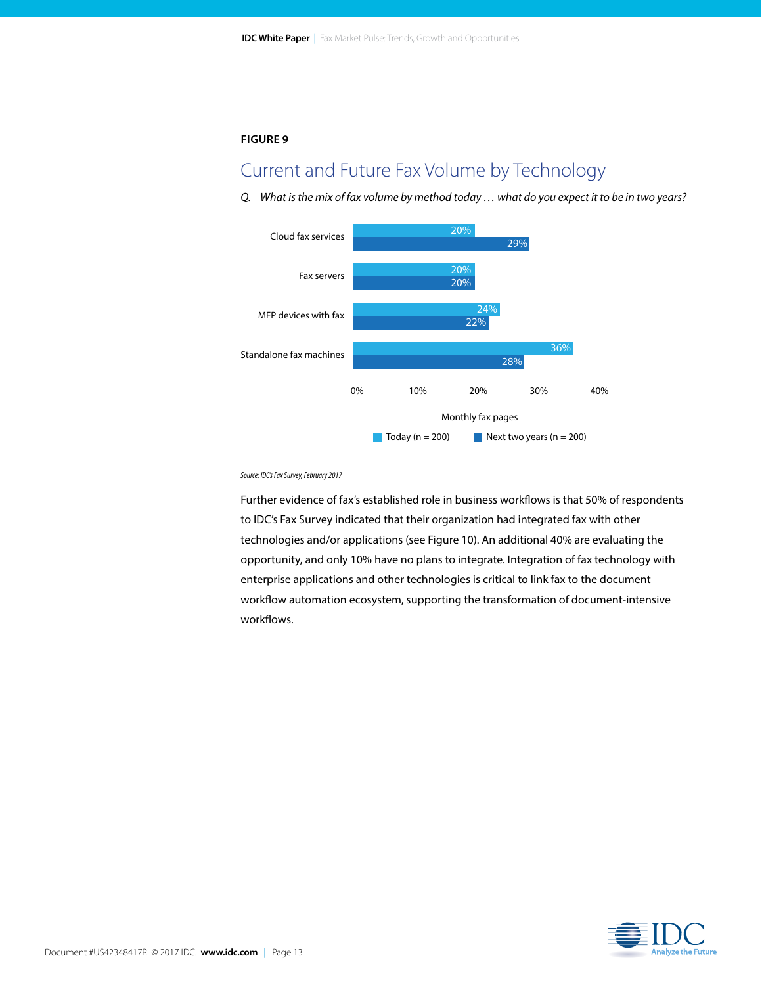### Current and Future Fax Volume by Technology

*Q. What is the mix of fax volume by method today … what do you expect it to be in two years?*



*Source: IDC's Fax Survey, February 2017*

Further evidence of fax's established role in business workflows is that 50% of respondents to IDC's Fax Survey indicated that their organization had integrated fax with other technologies and/or applications (see Figure 10). An additional 40% are evaluating the opportunity, and only 10% have no plans to integrate. Integration of fax technology with enterprise applications and other technologies is critical to link fax to the document workflow automation ecosystem, supporting the transformation of document-intensive workflows.

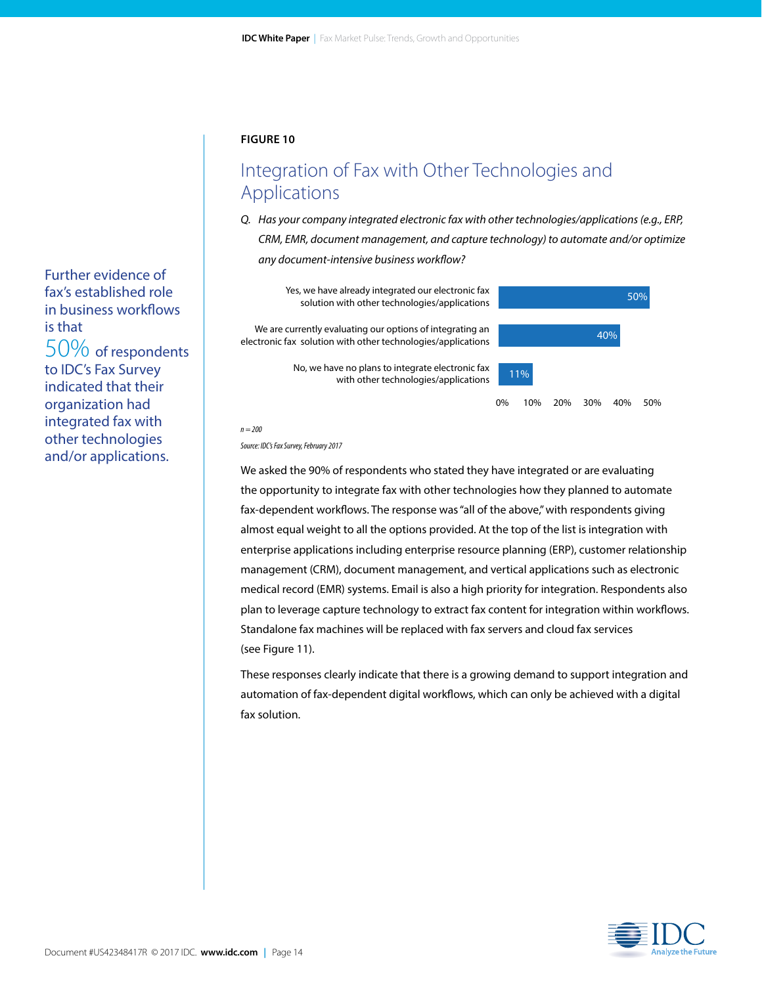### Integration of Fax with Other Technologies and Applications

*Q. Has your company integrated electronic fax with other technologies/applications (e.g., ERP, CRM, EMR, document management, and capture technology) to automate and/or optimize any document-intensive business workflow?*

Yes, we have already integrated our electronic fax solution with other technologies/applications 50% solution with other technologies/applications 50%

We are currently evaluating our options of integrating an  $40\%$ electronic fax solution with other technologies/applications

> No, we have no plans to integrate electronic fax  $\boxed{11\%}$ with other technologies/applications



*n = 200*

*Source: IDC's Fax Survey, February 2017*

We asked the 90% of respondents who stated they have integrated or are evaluating the opportunity to integrate fax with other technologies how they planned to automate fax-dependent workflows. The response was "all of the above," with respondents giving almost equal weight to all the options provided. At the top of the list is integration with enterprise applications including enterprise resource planning (ERP), customer relationship management (CRM), document management, and vertical applications such as electronic medical record (EMR) systems. Email is also a high priority for integration. Respondents also plan to leverage capture technology to extract fax content for integration within workflows. Standalone fax machines will be replaced with fax servers and cloud fax services (see Figure 11).

These responses clearly indicate that there is a growing demand to support integration and automation of fax-dependent digital workflows, which can only be achieved with a digital fax solution.



Further evidence of fax's established role in business workflows is that 50% of respondents to IDC's Fax Survey indicated that their organization had integrated fax with other technologies and/or applications.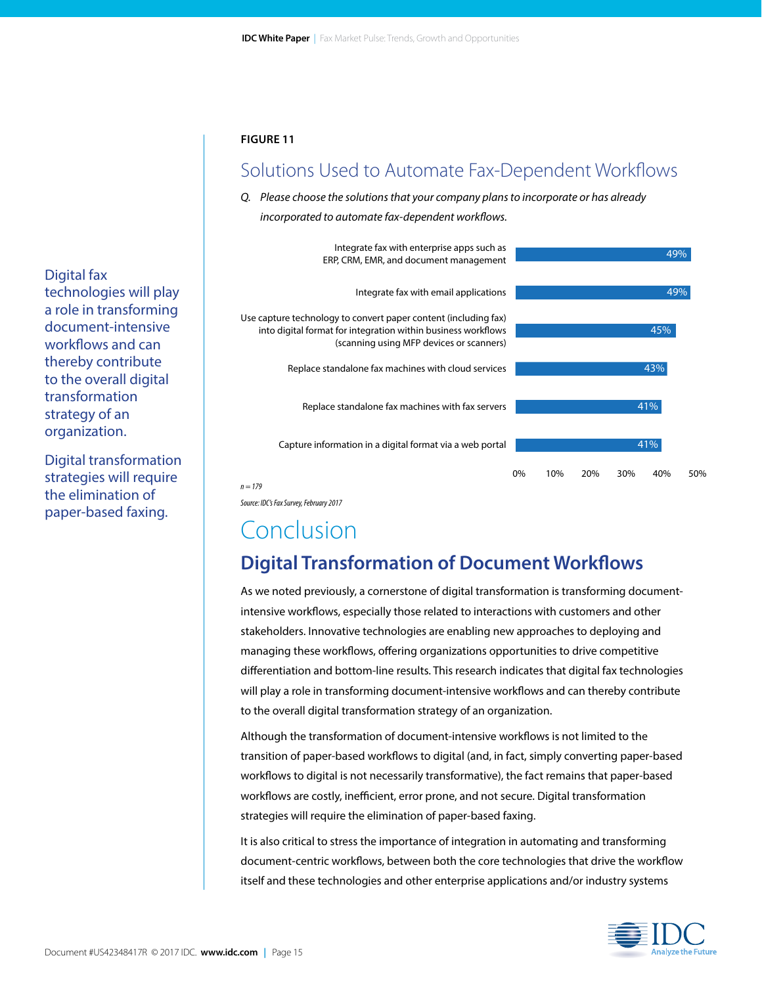### Solutions Used to Automate Fax-Dependent Workflows

#### *Q. Please choose the solutions that your company plans to incorporate or has already incorporated to automate fax-dependent workflows.*



*n = 179*

*Source: IDC's Fax Survey, February 2017*

## Conclusion

### **Digital Transformation of Document Workflows**

As we noted previously, a cornerstone of digital transformation is transforming documentintensive workflows, especially those related to interactions with customers and other stakeholders. Innovative technologies are enabling new approaches to deploying and managing these workflows, offering organizations opportunities to drive competitive differentiation and bottom-line results. This research indicates that digital fax technologies will play a role in transforming document-intensive workflows and can thereby contribute to the overall digital transformation strategy of an organization.

Although the transformation of document-intensive workflows is not limited to the transition of paper-based workflows to digital (and, in fact, simply converting paper-based workflows to digital is not necessarily transformative), the fact remains that paper-based workflows are costly, inefficient, error prone, and not secure. Digital transformation strategies will require the elimination of paper-based faxing.

It is also critical to stress the importance of integration in automating and transforming document-centric workflows, between both the core technologies that drive the workflow itself and these technologies and other enterprise applications and/or industry systems



Digital fax technologies will play a role in transforming document-intensive workflows and can thereby contribute to the overall digital transformation strategy of an organization.

Digital transformation strategies will require the elimination of paper-based faxing.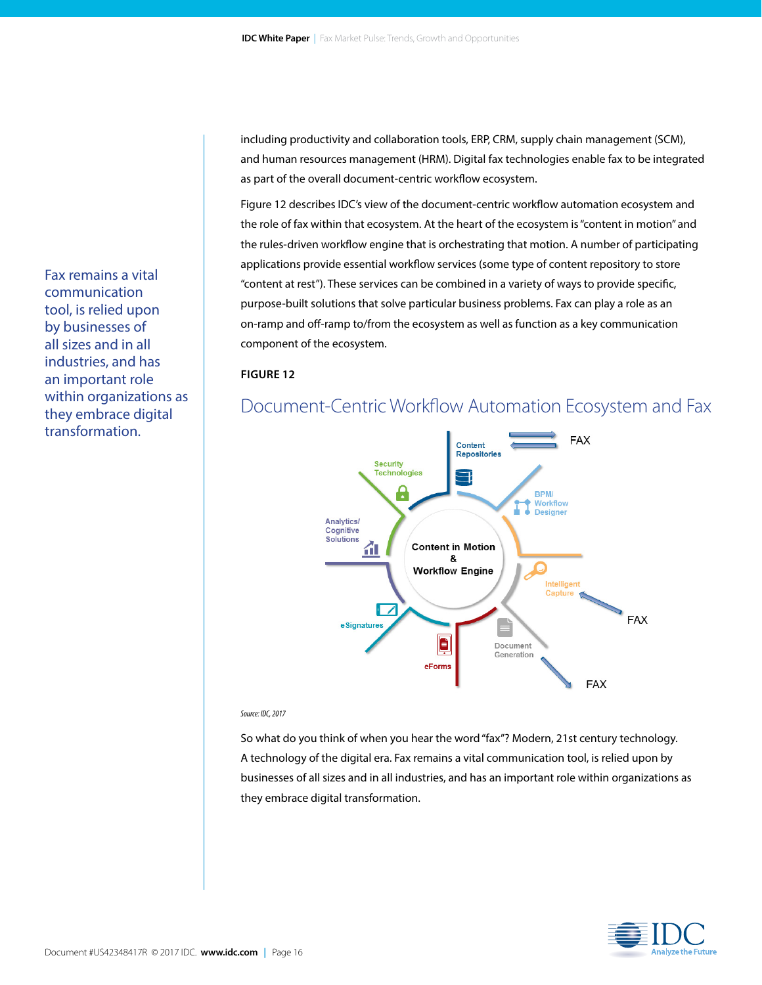including productivity and collaboration tools, ERP, CRM, supply chain management (SCM), and human resources management (HRM). Digital fax technologies enable fax to be integrated as part of the overall document-centric workflow ecosystem.

Figure 12 describes IDC's view of the document-centric workflow automation ecosystem and the role of fax within that ecosystem. At the heart of the ecosystem is "content in motion" and the rules-driven workflow engine that is orchestrating that motion. A number of participating applications provide essential workflow services (some type of content repository to store "content at rest"). These services can be combined in a variety of ways to provide specific, purpose-built solutions that solve particular business problems. Fax can play a role as an on-ramp and off-ramp to/from the ecosystem as well as function as a key communication component of the ecosystem.

#### **FIGURE 12**

### Document-Centric Workflow Automation Ecosystem and Fax



#### *Source: IDC, 2017*

So what do you think of when you hear the word "fax"? Modern, 21st century technology. A technology of the digital era. Fax remains a vital communication tool, is relied upon by businesses of all sizes and in all industries, and has an important role within organizations as they embrace digital transformation.

**Analyze the Future** 

Fax remains a vital communication tool, is relied upon by businesses of all sizes and in all industries, and has an important role within organizations as they embrace digital transformation.